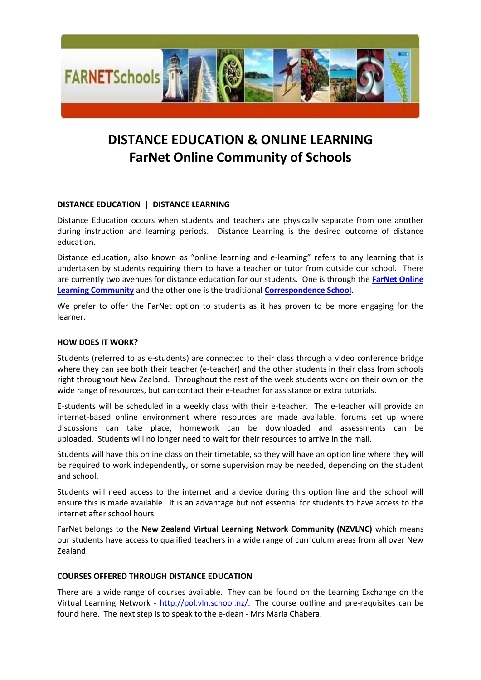

# **DISTANCE EDUCATION & ONLINE LEARNING FarNet Online Community of Schools**

## **DISTANCE EDUCATION | DISTANCE LEARNING**

Distance Education occurs when students and teachers are physically separate from one another during instruction and learning periods. Distance Learning is the desired outcome of distance education.

Distance education, also known as "online learning and e-learning" refers to any learning that is undertaken by students requiring them to have a teacher or tutor from outside our school. There are currently two avenues for distance education for our students. One is through the **[FarNet Online](http://www.farnet.school.nz/)  [Learning Community](http://www.farnet.school.nz/)** and the other one is the traditional **[Correspondence School](http://www.tekura.school.nz/)**.

We prefer to offer the FarNet option to students as it has proven to be more engaging for the learner.

## **HOW DOES IT WORK?**

Students (referred to as e-students) are connected to their class through a video conference bridge where they can see both their teacher (e-teacher) and the other students in their class from schools right throughout New Zealand. Throughout the rest of the week students work on their own on the wide range of resources, but can contact their e-teacher for assistance or extra tutorials.

E-students will be scheduled in a weekly class with their e-teacher. The e-teacher will provide an internet-based online environment where resources are made available, forums set up where discussions can take place, homework can be downloaded and assessments can be uploaded. Students will no longer need to wait for their resources to arrive in the mail.

Students will have this online class on their timetable, so they will have an option line where they will be required to work independently, or some supervision may be needed, depending on the student and school.

Students will need access to the internet and a device during this option line and the school will ensure this is made available. It is an advantage but not essential for students to have access to the internet after school hours.

FarNet belongs to the **New Zealand Virtual Learning Network Community (NZVLNC)** which means our students have access to qualified teachers in a wide range of curriculum areas from all over New Zealand.

## **COURSES OFFERED THROUGH DISTANCE EDUCATION**

There are a wide range of courses available. They can be found on the Learning Exchange on the Virtual Learning Network - [http://pol.vln.school.nz/.](http://pol.vln.school.nz/) The course outline and pre-requisites can be found here. The next step is to speak to the e-dean - Mrs Maria Chabera.